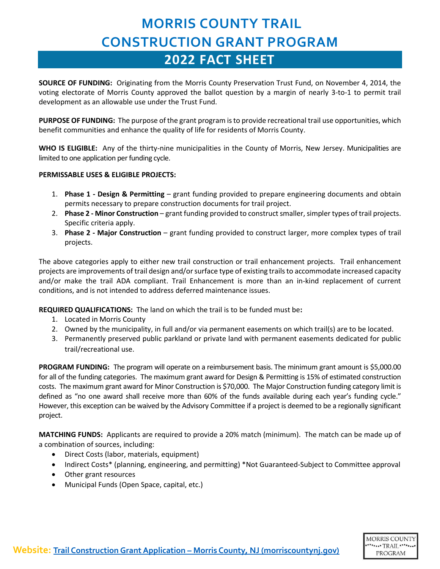## **MORRIS COUNTY TRAIL CONSTRUCTION GRANT PROGRAM 2022 FACT SHEET**

**SOURCE OF FUNDING:** Originating from the Morris County Preservation Trust Fund, on November 4, 2014, the voting electorate of Morris County approved the ballot question by a margin of nearly 3-to-1 to permit trail development as an allowable use under the Trust Fund.

**PURPOSE OF FUNDING:** The purpose of the grant program is to provide recreational trail use opportunities, which benefit communities and enhance the quality of life for residents of Morris County.

**WHO IS ELIGIBLE:** Any of the thirty-nine municipalities in the County of Morris, New Jersey. Municipalities are limited to one application per funding cycle.

#### **PERMISSABLE USES & ELIGIBLE PROJECTS:**

- 1. **Phase 1 - Design & Permitting** grant funding provided to prepare engineering documents and obtain permits necessary to prepare construction documents for trail project.
- 2. **Phase 2 - Minor Construction** grant funding provided to construct smaller,simpler types of trail projects. Specific criteria apply.
- 3. **Phase 2 - Major Construction** grant funding provided to construct larger, more complex types of trail projects.

The above categories apply to either new trail construction or trail enhancement projects. Trail enhancement projects are improvements of trail design and/or surface type of existing trails to accommodate increased capacity and/or make the trail ADA compliant. Trail Enhancement is more than an in-kind replacement of current conditions, and is not intended to address deferred maintenance issues.

**REQUIRED QUALIFICATIONS:** The land on which the trail is to be funded must be**:** 

- 1. Located in Morris County
- 2. Owned by the municipality, in full and/or via permanent easements on which trail(s) are to be located.
- 3. Permanently preserved public parkland or private land with permanent easements dedicated for public trail/recreational use.

**PROGRAM FUNDING:** The program will operate on a reimbursement basis. The minimum grant amount is \$5,000.00 for all of the funding categories. The maximum grant award for Design & Permitting is 15% of estimated construction costs. The maximum grant award for Minor Construction is \$70,000. The Major Construction funding category limit is defined as "no one award shall receive more than 60% of the funds available during each year's funding cycle." However, this exception can be waived by the Advisory Committee if a project is deemed to be a regionally significant project.

**MATCHING FUNDS:** Applicants are required to provide a 20% match (minimum). The match can be made up of a combination of sources, including:

- Direct Costs (labor, materials, equipment)
- Indirect Costs\* (planning, engineering, and permitting) \*Not Guaranteed-Subject to Committee approval
- Other grant resources
- Municipal Funds (Open Space, capital, etc.)